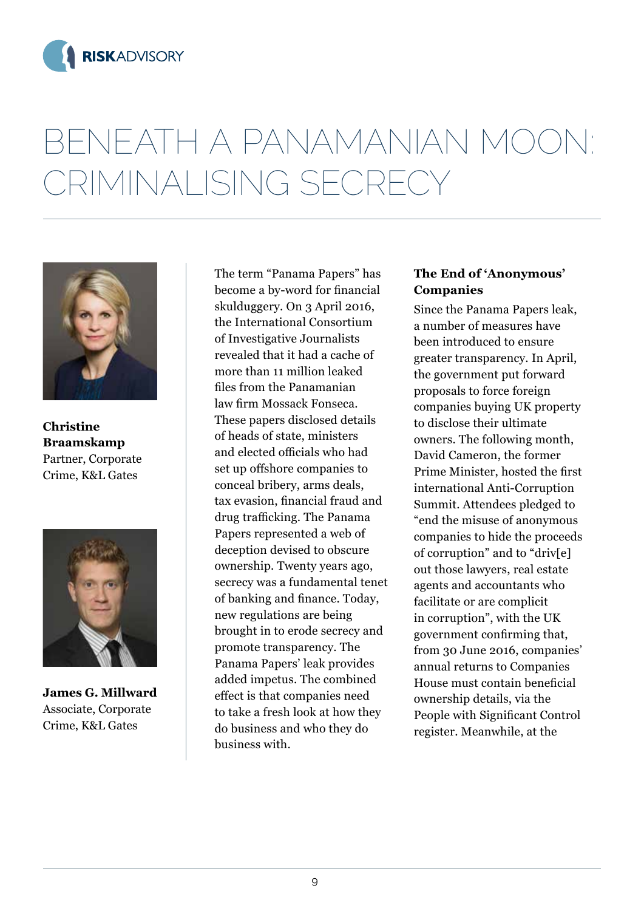



**Christine Braamskamp** Partner, Corporate Crime, K&L Gates



**James G. Millward** Associate, Corporate Crime, K&L Gates

The term "Panama Papers" has become a by-word for financial skulduggery. On 3 April 2016, the International Consortium of Investigative Journalists revealed that it had a cache of more than 11 million leaked files from the Panamanian law firm Mossack Fonseca. These papers disclosed details of heads of state, ministers and elected officials who had set up offshore companies to conceal bribery, arms deals, tax evasion, financial fraud and drug trafficking. The Panama Papers represented a web of deception devised to obscure ownership. Twenty years ago, secrecy was a fundamental tenet of banking and finance. Today, new regulations are being brought in to erode secrecy and promote transparency. The Panama Papers' leak provides added impetus. The combined effect is that companies need to take a fresh look at how they do business and who they do business with.

#### **The End of 'Anonymous' Companies**

Since the Panama Papers leak, a number of measures have been introduced to ensure greater transparency. In April, the government put forward proposals to force foreign companies buying UK property to disclose their ultimate owners. The following month, David Cameron, the former Prime Minister, hosted the first international Anti-Corruption Summit. Attendees pledged to "end the misuse of anonymous companies to hide the proceeds of corruption" and to "driv[e] out those lawyers, real estate agents and accountants who facilitate or are complicit in corruption", with the UK government confirming that, from 30 June 2016, companies' annual returns to Companies House must contain beneficial ownership details, via the People with Significant Control register. Meanwhile, at the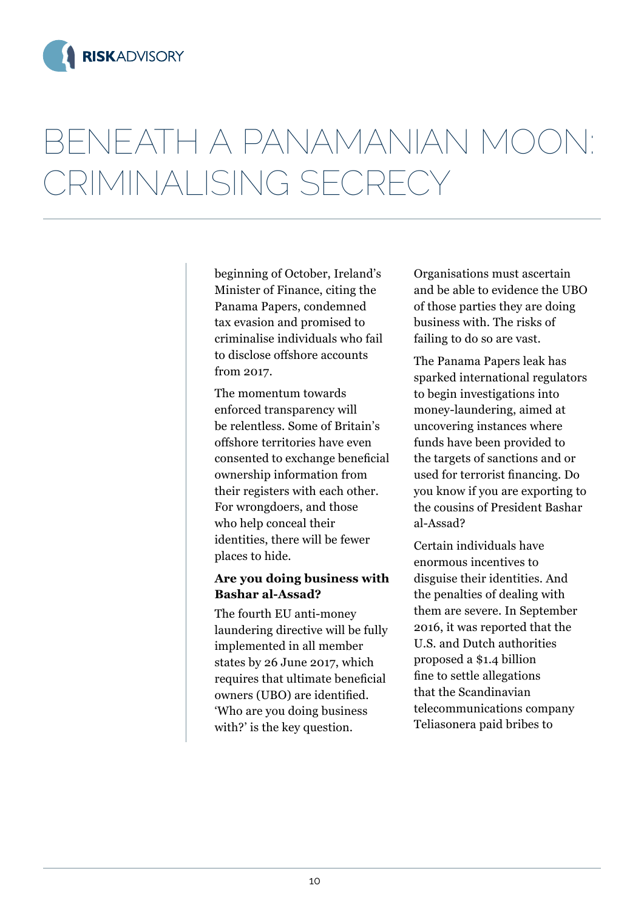

beginning of October, Ireland's Minister of Finance, citing the Panama Papers, condemned tax evasion and promised to criminalise individuals who fail to disclose offshore accounts from 2017.

The momentum towards enforced transparency will be relentless. Some of Britain's offshore territories have even consented to exchange beneficial ownership information from their registers with each other. For wrongdoers, and those who help conceal their identities, there will be fewer places to hide.

### **Are you doing business with Bashar al-Assad?**

The fourth EU anti-money laundering directive will be fully implemented in all member states by 26 June 2017, which requires that ultimate beneficial owners (UBO) are identified. 'Who are you doing business with?' is the key question.

Organisations must ascertain and be able to evidence the UBO of those parties they are doing business with. The risks of failing to do so are vast.

The Panama Papers leak has sparked international regulators to begin investigations into money-laundering, aimed at uncovering instances where funds have been provided to the targets of sanctions and or used for terrorist financing. Do you know if you are exporting to the cousins of President Bashar al-Assad?

Certain individuals have enormous incentives to disguise their identities. And the penalties of dealing with them are severe. In September 2016, it was reported that the U.S. and Dutch authorities proposed a \$1.4 billion fine to settle allegations that the Scandinavian telecommunications company Teliasonera paid bribes to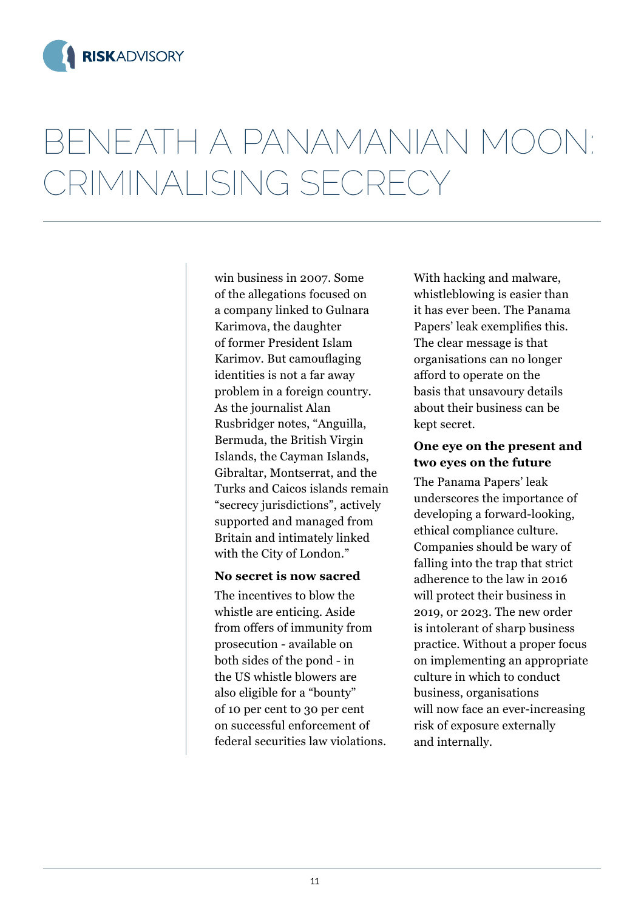

win business in 2007. Some of the allegations focused on a company linked to Gulnara Karimova, the daughter of former President Islam Karimov. But camouflaging identities is not a far away problem in a foreign country. As the journalist Alan Rusbridger notes, "Anguilla, Bermuda, the British Virgin Islands, the Cayman Islands, Gibraltar, Montserrat, and the Turks and Caicos islands remain "secrecy jurisdictions", actively supported and managed from Britain and intimately linked with the City of London."

#### **No secret is now sacred**

The incentives to blow the whistle are enticing. Aside from offers of immunity from prosecution - available on both sides of the pond - in the US whistle blowers are also eligible for a "bounty" of 10 per cent to 30 per cent on successful enforcement of federal securities law violations.

With hacking and malware, whistleblowing is easier than it has ever been. The Panama Papers' leak exemplifies this. The clear message is that organisations can no longer afford to operate on the basis that unsavoury details about their business can be kept secret.

#### **One eye on the present and two eyes on the future**

The Panama Papers' leak underscores the importance of developing a forward-looking, ethical compliance culture. Companies should be wary of falling into the trap that strict adherence to the law in 2016 will protect their business in 2019, or 2023. The new order is intolerant of sharp business practice. Without a proper focus on implementing an appropriate culture in which to conduct business, organisations will now face an ever-increasing risk of exposure externally and internally.